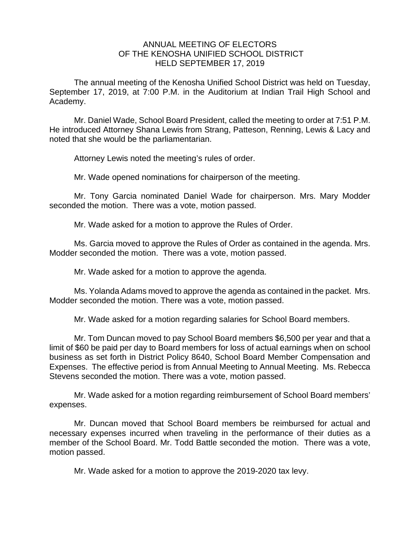## ANNUAL MEETING OF ELECTORS OF THE KENOSHA UNIFIED SCHOOL DISTRICT HELD SEPTEMBER 17, 2019

The annual meeting of the Kenosha Unified School District was held on Tuesday, September 17, 2019, at 7:00 P.M. in the Auditorium at Indian Trail High School and Academy.

Mr. Daniel Wade, School Board President, called the meeting to order at 7:51 P.M. He introduced Attorney Shana Lewis from Strang, Patteson, Renning, Lewis & Lacy and noted that she would be the parliamentarian.

Attorney Lewis noted the meeting's rules of order.

Mr. Wade opened nominations for chairperson of the meeting.

Mr. Tony Garcia nominated Daniel Wade for chairperson. Mrs. Mary Modder seconded the motion. There was a vote, motion passed.

Mr. Wade asked for a motion to approve the Rules of Order.

Ms. Garcia moved to approve the Rules of Order as contained in the agenda. Mrs. Modder seconded the motion. There was a vote, motion passed.

Mr. Wade asked for a motion to approve the agenda.

Ms. Yolanda Adams moved to approve the agenda as contained in the packet. Mrs. Modder seconded the motion. There was a vote, motion passed.

Mr. Wade asked for a motion regarding salaries for School Board members.

Mr. Tom Duncan moved to pay School Board members \$6,500 per year and that a limit of \$60 be paid per day to Board members for loss of actual earnings when on school business as set forth in District Policy 8640, School Board Member Compensation and Expenses. The effective period is from Annual Meeting to Annual Meeting. Ms. Rebecca Stevens seconded the motion. There was a vote, motion passed.

Mr. Wade asked for a motion regarding reimbursement of School Board members' expenses.

Mr. Duncan moved that School Board members be reimbursed for actual and necessary expenses incurred when traveling in the performance of their duties as a member of the School Board. Mr. Todd Battle seconded the motion. There was a vote, motion passed.

Mr. Wade asked for a motion to approve the 2019-2020 tax levy.